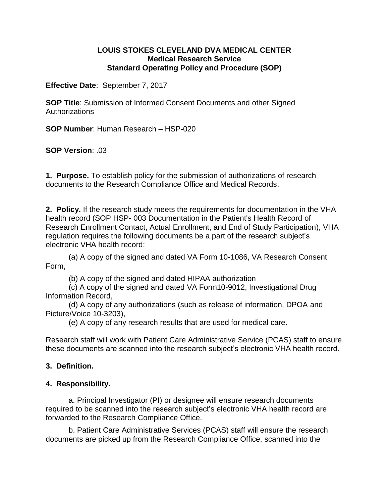## **LOUIS STOKES CLEVELAND DVA MEDICAL CENTER Medical Research Service Standard Operating Policy and Procedure (SOP)**

**Effective Date**: September 7, 2017

**SOP Title**: Submission of Informed Consent Documents and other Signed Authorizations

**SOP Number**: Human Research – HSP-020

**SOP Version**: .03

**1. Purpose.** To establish policy for the submission of authorizations of research documents to the Research Compliance Office and Medical Records.

**2. Policy.** If the research study meets the requirements for documentation in the VHA health record (SOP HSP- 003 Documentation in the Patient's Health Record of Research Enrollment Contact, Actual Enrollment, and End of Study Participation), VHA regulation requires the following documents be a part of the research subject's electronic VHA health record:

(a) A copy of the signed and dated VA Form 10-1086, VA Research Consent Form,

(b) A copy of the signed and dated HIPAA authorization

(c) A copy of the signed and dated VA Form10-9012, Investigational Drug Information Record,

(d) A copy of any authorizations (such as release of information, DPOA and Picture/Voice 10-3203),

(e) A copy of any research results that are used for medical care.

Research staff will work with Patient Care Administrative Service (PCAS) staff to ensure these documents are scanned into the research subject's electronic VHA health record.

## **3. Definition.**

## **4. Responsibility.**

a. Principal Investigator (PI) or designee will ensure research documents required to be scanned into the research subject's electronic VHA health record are forwarded to the Research Compliance Office.

b. Patient Care Administrative Services (PCAS) staff will ensure the research documents are picked up from the Research Compliance Office, scanned into the